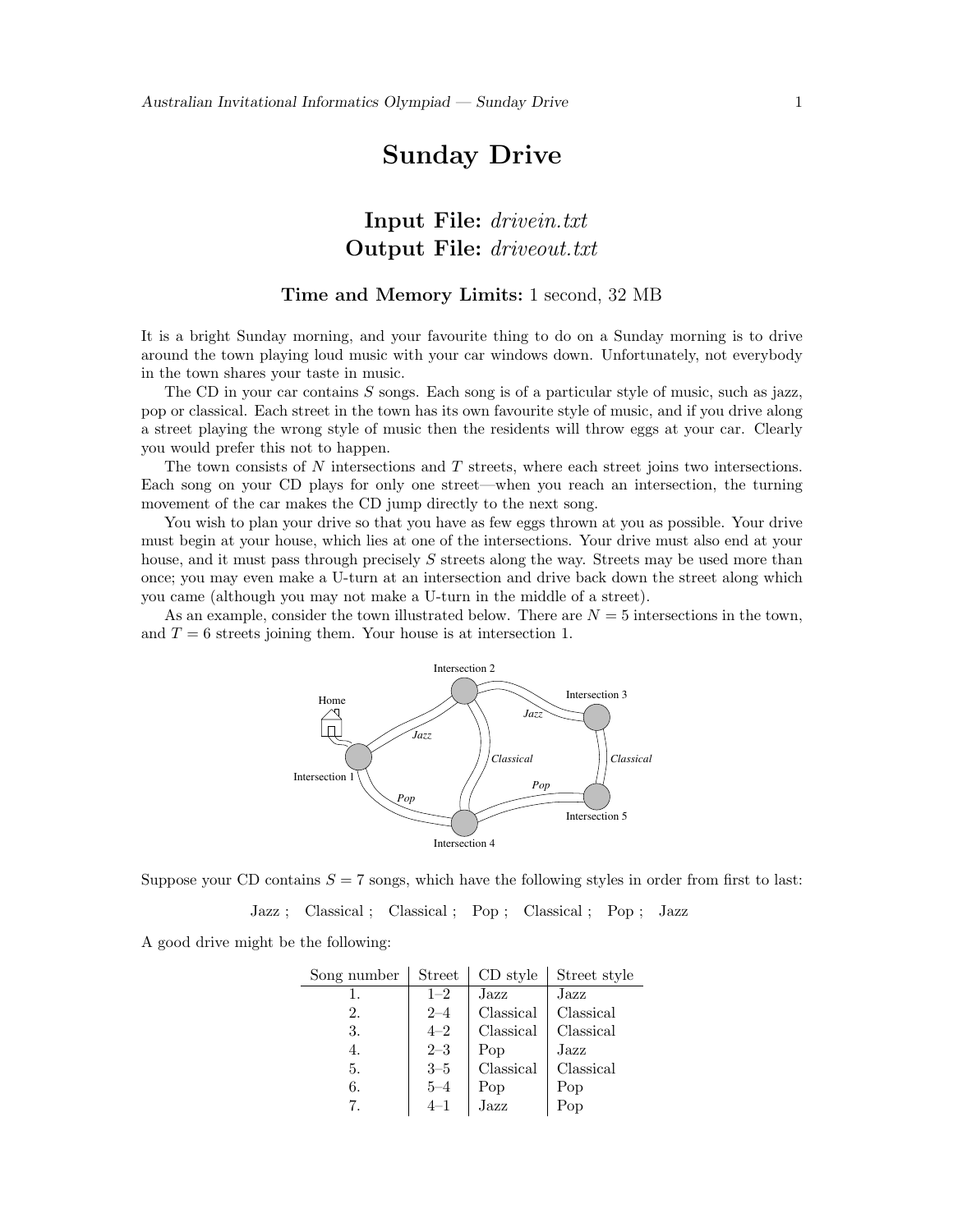# Sunday Drive

## Input File: drivein.txt Output File: driveout.txt

#### Time and Memory Limits: 1 second, 32 MB

It is a bright Sunday morning, and your favourite thing to do on a Sunday morning is to drive around the town playing loud music with your car windows down. Unfortunately, not everybody in the town shares your taste in music.

The CD in your car contains S songs. Each song is of a particular style of music, such as jazz, pop or classical. Each street in the town has its own favourite style of music, and if you drive along a street playing the wrong style of music then the residents will throw eggs at your car. Clearly you would prefer this not to happen.

The town consists of N intersections and T streets, where each street joins two intersections. Each song on your CD plays for only one street—when you reach an intersection, the turning movement of the car makes the CD jump directly to the next song.

You wish to plan your drive so that you have as few eggs thrown at you as possible. Your drive must begin at your house, which lies at one of the intersections. Your drive must also end at your house, and it must pass through precisely S streets along the way. Streets may be used more than once; you may even make a U-turn at an intersection and drive back down the street along which you came (although you may not make a U-turn in the middle of a street).

As an example, consider the town illustrated below. There are  $N = 5$  intersections in the town, and  $T = 6$  streets joining them. Your house is at intersection 1.



Suppose your CD contains  $S = 7$  songs, which have the following styles in order from first to last:

Jazz ; Classical ; Classical ; Pop ; Classical ; Pop ; Jazz

A good drive might be the following:

| Song number | <b>Street</b> | CD style    | Street style |
|-------------|---------------|-------------|--------------|
| 1.          | $1 - 2$       | Jazz        | Jazz         |
| 2.          | $2 - 4$       | Classical   | Classical    |
| 3.          | $4 - 2$       | Classical   | Classical    |
| 4.          | $2 - 3$       | Pop         | Jazz         |
| 5.          | $3 - 5$       | Classical   | Classical    |
| 6.          | $5 - 4$       | Pop<br>Jazz | Pop          |
| 7.          | $4 - 1$       |             | Pop          |